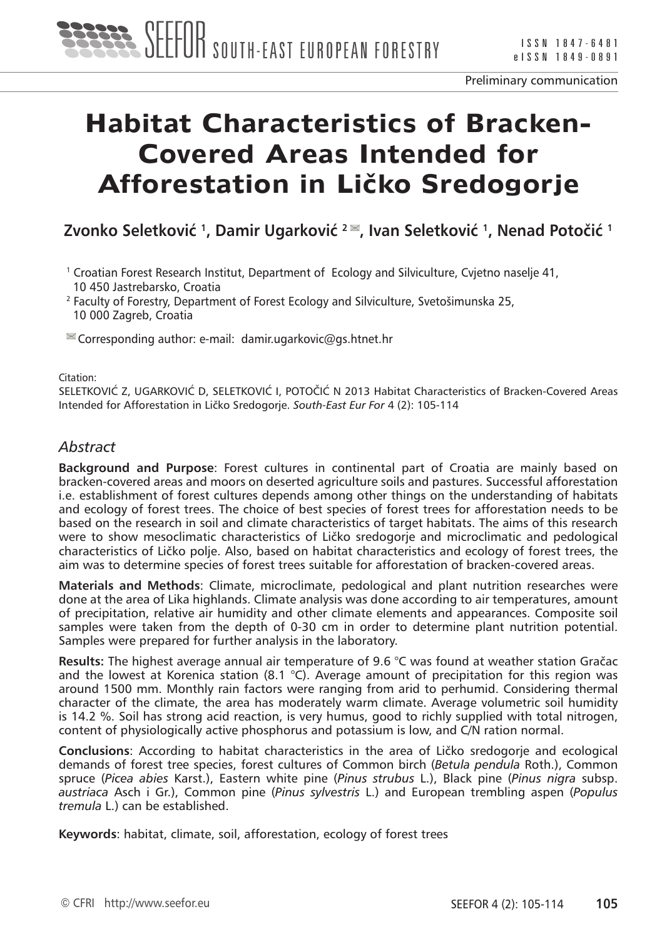

# **Habitat Characteristics of Bracken-Covered Areas Intended for Afforestation in Ličko Sredogorje**

**Zvonko Seletković <sup>1</sup>, Damir Ugarković <sup>2</sup>, Ivan Seletković <sup>1</sup>, Nenad Potočić <sup>1</sup>**

1 Croatian Forest Research Institut, Department of Ecology and Silviculture, Cvjetno naselje 41, 10 450 Jastrebarsko, Croatia

<sup>2</sup> Faculty of Forestry, Department of Forest Ecology and Silviculture, Svetošimunska 25, 10 000 Zagreb, Croatia

 $\leq$  Corresponding author: e-mail: damir.ugarkovic@gs.htnet.hr

Citation:

SELETKOVIĆ Z, UGARKOVIĆ D, SELETKOVIĆ I, POTOČIĆ N 2013 Habitat Characteristics of Bracken-Covered Areas Intended for Afforestation in Ličko Sredogorje. *South-East Eur For* 4 (2): 105-114

# *Abstract*

**Background and Purpose**: Forest cultures in continental part of Croatia are mainly based on bracken-covered areas and moors on deserted agriculture soils and pastures. Successful afforestation i.e. establishment of forest cultures depends among other things on the understanding of habitats and ecology of forest trees. The choice of best species of forest trees for afforestation needs to be based on the research in soil and climate characteristics of target habitats. The aims of this research were to show mesoclimatic characteristics of Ličko sredogorje and microclimatic and pedological characteristics of Ličko polje. Also, based on habitat characteristics and ecology of forest trees, the aim was to determine species of forest trees suitable for afforestation of bracken-covered areas.

**Materials and Methods**: Climate, microclimate, pedological and plant nutrition researches were done at the area of Lika highlands. Climate analysis was done according to air temperatures, amount of precipitation, relative air humidity and other climate elements and appearances. Composite soil samples were taken from the depth of 0-30 cm in order to determine plant nutrition potential. Samples were prepared for further analysis in the laboratory.

**Results:** The highest average annual air temperature of 9.6 °C was found at weather station Gračac and the lowest at Korenica station (8.1 °C). Average amount of precipitation for this region was around 1500 mm. Monthly rain factors were ranging from arid to perhumid. Considering thermal character of the climate, the area has moderately warm climate. Average volumetric soil humidity is 14.2 %. Soil has strong acid reaction, is very humus, good to richly supplied with total nitrogen, content of physiologically active phosphorus and potassium is low, and C/N ration normal.

**Conclusions**: According to habitat characteristics in the area of Ličko sredogorje and ecological demands of forest tree species, forest cultures of Common birch (*Betula pendula* Roth.), Common spruce (*Picea abies* Karst.), Eastern white pine (*Pinus strubus* L.), Black pine (*Pinus nigra* subsp. *austriaca* Asch i Gr.), Common pine (*Pinus sylvestris* L.) and European trembling aspen (*Populus tremula* L.) can be established.

**Keywords**: habitat, climate, soil, afforestation, ecology of forest trees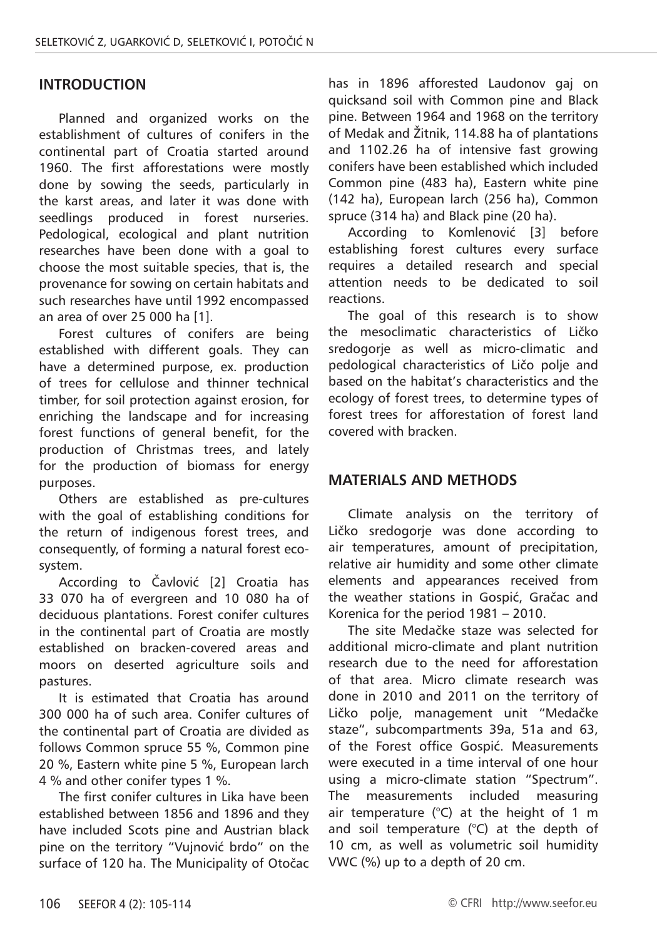### **INTRODUCTION**

Planned and organized works on the establishment of cultures of conifers in the continental part of Croatia started around 1960. The first afforestations were mostly done by sowing the seeds, particularly in the karst areas, and later it was done with seedlings produced in forest nurseries. Pedological, ecological and plant nutrition researches have been done with a goal to choose the most suitable species, that is, the provenance for sowing on certain habitats and such researches have until 1992 encompassed an area of over 25 000 ha [1].

Forest cultures of conifers are being established with different goals. They can have a determined purpose, ex. production of trees for cellulose and thinner technical timber, for soil protection against erosion, for enriching the landscape and for increasing forest functions of general benefit, for the production of Christmas trees, and lately for the production of biomass for energy purposes.

Others are established as pre-cultures with the goal of establishing conditions for the return of indigenous forest trees, and consequently, of forming a natural forest ecosystem.

According to Čavlović [2] Croatia has 33 070 ha of evergreen and 10 080 ha of deciduous plantations. Forest conifer cultures in the continental part of Croatia are mostly established on bracken-covered areas and moors on deserted agriculture soils and pastures.

It is estimated that Croatia has around 300 000 ha of such area. Conifer cultures of the continental part of Croatia are divided as follows Common spruce 55 %, Common pine 20 %, Eastern white pine 5 %, European larch 4 % and other conifer types 1 %.

The first conifer cultures in Lika have been established between 1856 and 1896 and they have included Scots pine and Austrian black pine on the territory "Vujnović brdo" on the surface of 120 ha. The Municipality of Otočac has in 1896 afforested Laudonov gaj on quicksand soil with Common pine and Black pine. Between 1964 and 1968 on the territory of Medak and Žitnik, 114.88 ha of plantations and 1102.26 ha of intensive fast growing conifers have been established which included Common pine (483 ha), Eastern white pine (142 ha), European larch (256 ha), Common spruce (314 ha) and Black pine (20 ha).

According to Komlenović [3] before establishing forest cultures every surface requires a detailed research and special attention needs to be dedicated to soil reactions.

The goal of this research is to show the mesoclimatic characteristics of Ličko sredogorje as well as micro-climatic and pedological characteristics of Ličo polje and based on the habitat's characteristics and the ecology of forest trees, to determine types of forest trees for afforestation of forest land covered with bracken.

#### **MATERIALS AND METHODS**

Climate analysis on the territory of Ličko sredogorje was done according to air temperatures, amount of precipitation, relative air humidity and some other climate elements and appearances received from the weather stations in Gospić, Gračac and Korenica for the period 1981 – 2010.

The site Medačke staze was selected for additional micro-climate and plant nutrition research due to the need for afforestation of that area. Micro climate research was done in 2010 and 2011 on the territory of Ličko polje, management unit "Medačke staze", subcompartments 39a, 51a and 63, of the Forest office Gospić. Measurements were executed in a time interval of one hour using a micro-climate station "Spectrum". The measurements included measuring air temperature  $(^{\circ}C)$  at the height of 1 m and soil temperature (°C) at the depth of 10 cm, as well as volumetric soil humidity VWC (%) up to a depth of 20 cm.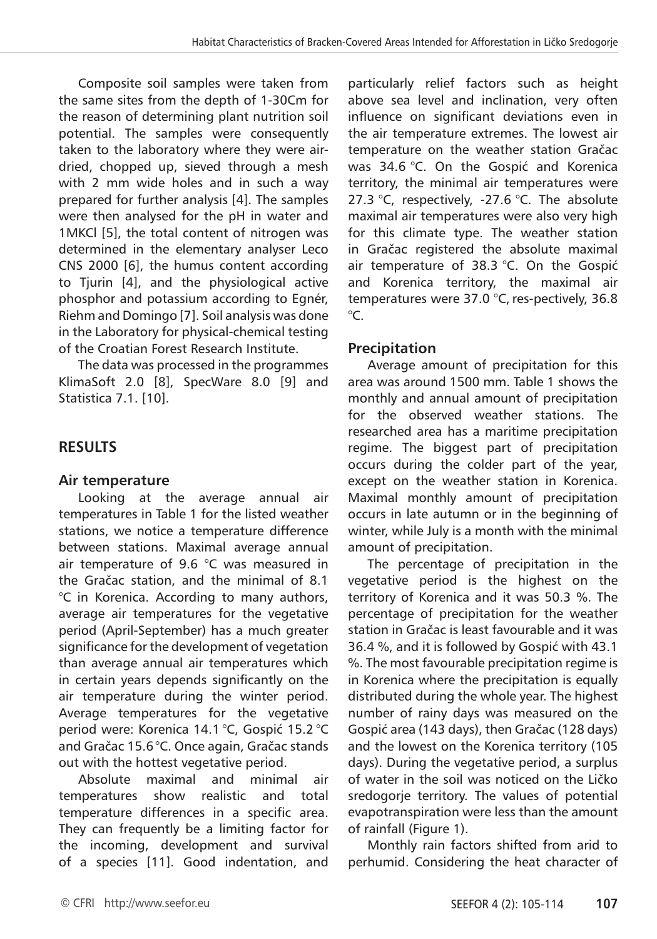Composite soil samples were taken from the same sites from the depth of 1-30Cm for the reason of determining plant nutrition soil potential. The samples were consequently taken to the laboratory where they were airdried, chopped up, sieved through a mesh with 2 mm wide holes and in such a way prepared for further analysis [4]. The samples were then analysed for the pH in water and 1MKCl [5], the total content of nitrogen was determined in the elementary analyser Leco CNS 2000 [6], the humus content according to Tjurin [4], and the physiological active phosphor and potassium according to Egnér, Riehm and Domingo [7]. Soil analysis was done in the Laboratory for physical-chemical testing of the Croatian Forest Research Institute.

The data was processed in the programmes KlimaSoft 2.0 [8], SpecWare 8.0 [9] and Statistica 7.1. [10].

# **RESULTS**

#### **Air temperature**

Looking at the average annual air temperatures in Table 1 for the listed weather stations, we notice a temperature difference between stations. Maximal average annual air temperature of 9.6 °C was measured in the Gračac station, and the minimal of 8.1 °C in Korenica. According to many authors, average air temperatures for the vegetative period (April-September) has a much greater significance for the development of vegetation than average annual air temperatures which in certain years depends significantly on the air temperature during the winter period. Average temperatures for the vegetative period were: Korenica 14.1 °C, Gospić 15.2 °C and Gračac 15.6°C. Once again, Gračac stands out with the hottest vegetative period.

Absolute maximal and minimal air temperatures show realistic and total temperature differences in a specific area. They can frequently be a limiting factor for the incoming, development and survival of a species [11]. Good indentation, and particularly relief factors such as height above sea level and inclination, very often influence on significant deviations even in the air temperature extremes. The lowest air temperature on the weather station Gračac was 34.6 °C. On the Gospić and Korenica territory, the minimal air temperatures were 27.3 °C, respectively, -27.6 °C. The absolute maximal air temperatures were also very high for this climate type. The weather station in Gračac registered the absolute maximal air temperature of 38.3 °C. On the Gospić and Korenica territory, the maximal air temperatures were  $37.0$  °C, res-pectively, 36.8  $^{\circ}C$ .

# **Precipitation**

Average amount of precipitation for this area was around 1500 mm. Table 1 shows the monthly and annual amount of precipitation for the observed weather stations. The researched area has a maritime precipitation regime. The biggest part of precipitation occurs during the colder part of the year, except on the weather station in Korenica. Maximal monthly amount of precipitation occurs in late autumn or in the beginning of winter, while July is a month with the minimal amount of precipitation.

The percentage of precipitation in the vegetative period is the highest on the territory of Korenica and it was 50.3 %. The percentage of precipitation for the weather station in Gračac is least favourable and it was 36.4 %, and it is followed by Gospić with 43.1 %. The most favourable precipitation regime is in Korenica where the precipitation is equally distributed during the whole year. The highest number of rainy days was measured on the Gospić area (143 days), then Gračac (128 days) and the lowest on the Korenica territory (105 days). During the vegetative period, a surplus of water in the soil was noticed on the Ličko sredogorje territory. The values of potential evapotranspiration were less than the amount of rainfall (Figure 1).

Monthly rain factors shifted from arid to perhumid. Considering the heat character of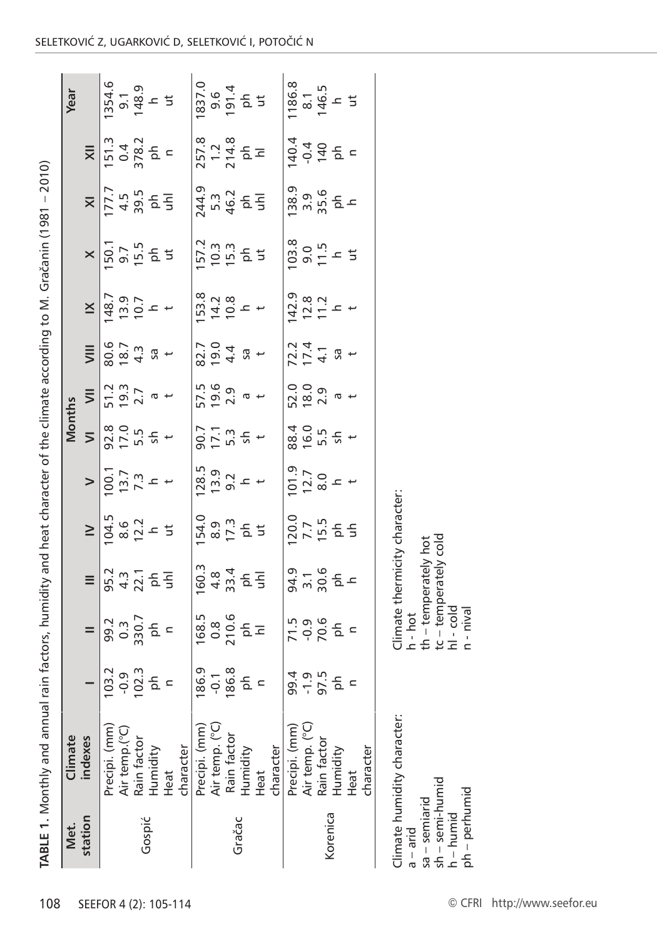| I                |
|------------------|
| l                |
|                  |
|                  |
|                  |
|                  |
| ֚֘֝              |
|                  |
|                  |
| I                |
|                  |
|                  |
| j                |
|                  |
|                  |
|                  |
|                  |
|                  |
|                  |
|                  |
|                  |
|                  |
|                  |
|                  |
|                  |
|                  |
|                  |
|                  |
|                  |
|                  |
|                  |
|                  |
|                  |
|                  |
|                  |
|                  |
| į                |
|                  |
|                  |
|                  |
|                  |
|                  |
|                  |
|                  |
|                  |
|                  |
|                  |
|                  |
|                  |
|                  |
|                  |
|                  |
|                  |
|                  |
|                  |
| l<br>l<br>J<br>I |
| l<br>ļ           |
| à                |

| 1186.8<br>8.1<br>146.5<br>146.5<br>1837.4<br>0.6<br>1914<br>1914<br>$257.8$<br>$214.8$<br>$214.8$<br>$151.3$<br>0.4<br>378.2<br>ph<br>140.4<br>$-0.4$<br>$\frac{1}{2}$<br>$\overline{\mathsf{x}}$<br>244.9<br>5.3<br>46.2<br>5 도<br>38.9<br>$3.56$<br>$3.56$<br>$2.5$<br>$\overline{\mathsf{x}}$<br>103.8<br>157.2<br>10.3<br>19.3<br>15.3<br>50.7<br>9.7 15 5 5<br>9.7 15 5 5<br>$9.5 - 5$<br>$\times$<br>$53.8$<br>$74.2$<br>$-16.8$<br>142.9<br>$48.7$<br>$49.9$<br>$+$<br>$+$<br>$49.7$<br>$\frac{2.8}{11.2}$ +<br>$\leq$<br>82.7<br>19.0<br>4.4<br>$72.4$<br>$17.4$<br>$80.7$<br>$6.7$<br>$4.3$<br>$4.3$<br>$4.5$<br>$\equiv$<br>$\overline{5}$ +<br>Sa <sub>+</sub><br>57.5<br>19.6<br>2.9<br>$\frac{51.2}{19.7}$ a +<br>52.0<br>18.0<br>2.9<br>$\equiv$<br>$\sigma$ +<br>$\sigma +$<br>$92.0$<br>$75.5$<br>$5.5$<br>$+$<br>88.4<br>16.0<br>5.5<br>$90.7$<br>$5.3$<br>$5.3$<br>$\pm$<br>$\frac{1}{2}$ +<br>$\overline{ }$<br>$\frac{128.5}{13.9}$<br>$\frac{5}{9.2}$<br>$\pm$<br>$\begin{array}{c} 101.9 \\ 12.7 \\ 8.0 \\ 12.7 \\ \end{array}$<br>$\begin{array}{c} 100.1 \\ 73.7 \\ 7.3 \\ \end{array}$<br>$\geq$<br>Climate thermicity character:<br>54.9<br>8.9<br>54.9<br>54.9<br>$\frac{120.0}{7.7}$<br>움 줄<br>$\geq$<br>cold<br>h - hot<br>th – temperately hot<br>$tc - temperate y$<br>60.3<br>$4.34$<br>$9.4$<br>$4.8$<br>$5.5$<br>94.9<br>3.1<br>30.6<br>$95.3$ $4.3$ $5.5$<br>$rac{1}{2}$<br>Ξ<br>$h - \text{cold}$<br>$n - nival$<br>168.5<br>0.8<br>210.6<br>PH<br>$71.5$<br>$-0.9$<br>$70.6$<br>$rac{c}{\alpha}$<br>$=$<br>$786.9$<br>$796.8$<br>$786.8$<br>$796.8$<br>$\begin{bmatrix} 1 & 0 & 0 & 0 \\ 0 & 0 & 0 & 0 \\ 0 & 0 & 0 & 0 \\ 0 & 0 & 0 & 0 \\ 0 & 0 & 0 & 0 \\ 0 & 0 & 0 & 0 \\ 0 & 0 & 0 & 0 \\ 0 & 0 & 0 & 0 \\ 0 & 0 & 0 & 0 \\ 0 & 0 & 0 & 0 \\ 0 & 0 & 0 & 0 \\ 0 & 0 & 0 & 0 \\ 0 & 0 & 0 & 0 \\ 0 & 0 & 0 & 0 \\ 0 & 0 & 0 & 0 & 0 \\ 0 & 0 & 0 & 0 & 0 \\ 0 & 0 & 0 & 0 & 0 \\ $<br>99.1.5<br>9.1.9<br>9.1.9<br>$\subset$<br>Climate humidity character:<br>Precipi. (mm)<br>Air temp. (°C)<br>Air temp. (°C)<br>Precipi. (mm)<br>Precipi. (mm)<br>Air temp.(°C)<br>Rain factor<br>Rain factor<br>Rain facto<br>character<br>character<br>character<br>Humidity<br>Humidity<br>Humidity<br>Heat<br>Heat<br>Heat<br>$sh - semi-humid$<br>ph - perhumid<br>sa – semiarid<br>Korenica<br>$h - h$ umid<br>station<br>Gospić<br>Gračac<br>$a - a$ rid | Met. | Climate |  |  | Months |  |  |  | Year                       |
|---------------------------------------------------------------------------------------------------------------------------------------------------------------------------------------------------------------------------------------------------------------------------------------------------------------------------------------------------------------------------------------------------------------------------------------------------------------------------------------------------------------------------------------------------------------------------------------------------------------------------------------------------------------------------------------------------------------------------------------------------------------------------------------------------------------------------------------------------------------------------------------------------------------------------------------------------------------------------------------------------------------------------------------------------------------------------------------------------------------------------------------------------------------------------------------------------------------------------------------------------------------------------------------------------------------------------------------------------------------------------------------------------------------------------------------------------------------------------------------------------------------------------------------------------------------------------------------------------------------------------------------------------------------------------------------------------------------------------------------------------------------------------------------------------------------------------------------------------------------------------------------------------------------------------------------------------------------------------------------------------------------------------------------------------------------------------------------------------------------------------------------------------------------------------------------------------------------------------------------------------------------------------------------------------------------------------------------------------------------------------------------------|------|---------|--|--|--------|--|--|--|----------------------------|
|                                                                                                                                                                                                                                                                                                                                                                                                                                                                                                                                                                                                                                                                                                                                                                                                                                                                                                                                                                                                                                                                                                                                                                                                                                                                                                                                                                                                                                                                                                                                                                                                                                                                                                                                                                                                                                                                                                                                                                                                                                                                                                                                                                                                                                                                                                                                                                                             |      | indexes |  |  |        |  |  |  |                            |
|                                                                                                                                                                                                                                                                                                                                                                                                                                                                                                                                                                                                                                                                                                                                                                                                                                                                                                                                                                                                                                                                                                                                                                                                                                                                                                                                                                                                                                                                                                                                                                                                                                                                                                                                                                                                                                                                                                                                                                                                                                                                                                                                                                                                                                                                                                                                                                                             |      |         |  |  |        |  |  |  | 354.6                      |
|                                                                                                                                                                                                                                                                                                                                                                                                                                                                                                                                                                                                                                                                                                                                                                                                                                                                                                                                                                                                                                                                                                                                                                                                                                                                                                                                                                                                                                                                                                                                                                                                                                                                                                                                                                                                                                                                                                                                                                                                                                                                                                                                                                                                                                                                                                                                                                                             |      |         |  |  |        |  |  |  | $-3.9$<br>$-3.9$<br>$-5.9$ |
|                                                                                                                                                                                                                                                                                                                                                                                                                                                                                                                                                                                                                                                                                                                                                                                                                                                                                                                                                                                                                                                                                                                                                                                                                                                                                                                                                                                                                                                                                                                                                                                                                                                                                                                                                                                                                                                                                                                                                                                                                                                                                                                                                                                                                                                                                                                                                                                             |      |         |  |  |        |  |  |  |                            |
|                                                                                                                                                                                                                                                                                                                                                                                                                                                                                                                                                                                                                                                                                                                                                                                                                                                                                                                                                                                                                                                                                                                                                                                                                                                                                                                                                                                                                                                                                                                                                                                                                                                                                                                                                                                                                                                                                                                                                                                                                                                                                                                                                                                                                                                                                                                                                                                             |      |         |  |  |        |  |  |  |                            |
|                                                                                                                                                                                                                                                                                                                                                                                                                                                                                                                                                                                                                                                                                                                                                                                                                                                                                                                                                                                                                                                                                                                                                                                                                                                                                                                                                                                                                                                                                                                                                                                                                                                                                                                                                                                                                                                                                                                                                                                                                                                                                                                                                                                                                                                                                                                                                                                             |      |         |  |  |        |  |  |  |                            |
|                                                                                                                                                                                                                                                                                                                                                                                                                                                                                                                                                                                                                                                                                                                                                                                                                                                                                                                                                                                                                                                                                                                                                                                                                                                                                                                                                                                                                                                                                                                                                                                                                                                                                                                                                                                                                                                                                                                                                                                                                                                                                                                                                                                                                                                                                                                                                                                             |      |         |  |  |        |  |  |  |                            |
|                                                                                                                                                                                                                                                                                                                                                                                                                                                                                                                                                                                                                                                                                                                                                                                                                                                                                                                                                                                                                                                                                                                                                                                                                                                                                                                                                                                                                                                                                                                                                                                                                                                                                                                                                                                                                                                                                                                                                                                                                                                                                                                                                                                                                                                                                                                                                                                             |      |         |  |  |        |  |  |  |                            |
|                                                                                                                                                                                                                                                                                                                                                                                                                                                                                                                                                                                                                                                                                                                                                                                                                                                                                                                                                                                                                                                                                                                                                                                                                                                                                                                                                                                                                                                                                                                                                                                                                                                                                                                                                                                                                                                                                                                                                                                                                                                                                                                                                                                                                                                                                                                                                                                             |      |         |  |  |        |  |  |  |                            |
|                                                                                                                                                                                                                                                                                                                                                                                                                                                                                                                                                                                                                                                                                                                                                                                                                                                                                                                                                                                                                                                                                                                                                                                                                                                                                                                                                                                                                                                                                                                                                                                                                                                                                                                                                                                                                                                                                                                                                                                                                                                                                                                                                                                                                                                                                                                                                                                             |      |         |  |  |        |  |  |  |                            |
|                                                                                                                                                                                                                                                                                                                                                                                                                                                                                                                                                                                                                                                                                                                                                                                                                                                                                                                                                                                                                                                                                                                                                                                                                                                                                                                                                                                                                                                                                                                                                                                                                                                                                                                                                                                                                                                                                                                                                                                                                                                                                                                                                                                                                                                                                                                                                                                             |      |         |  |  |        |  |  |  |                            |
|                                                                                                                                                                                                                                                                                                                                                                                                                                                                                                                                                                                                                                                                                                                                                                                                                                                                                                                                                                                                                                                                                                                                                                                                                                                                                                                                                                                                                                                                                                                                                                                                                                                                                                                                                                                                                                                                                                                                                                                                                                                                                                                                                                                                                                                                                                                                                                                             |      |         |  |  |        |  |  |  |                            |
|                                                                                                                                                                                                                                                                                                                                                                                                                                                                                                                                                                                                                                                                                                                                                                                                                                                                                                                                                                                                                                                                                                                                                                                                                                                                                                                                                                                                                                                                                                                                                                                                                                                                                                                                                                                                                                                                                                                                                                                                                                                                                                                                                                                                                                                                                                                                                                                             |      |         |  |  |        |  |  |  |                            |
|                                                                                                                                                                                                                                                                                                                                                                                                                                                                                                                                                                                                                                                                                                                                                                                                                                                                                                                                                                                                                                                                                                                                                                                                                                                                                                                                                                                                                                                                                                                                                                                                                                                                                                                                                                                                                                                                                                                                                                                                                                                                                                                                                                                                                                                                                                                                                                                             |      |         |  |  |        |  |  |  |                            |
|                                                                                                                                                                                                                                                                                                                                                                                                                                                                                                                                                                                                                                                                                                                                                                                                                                                                                                                                                                                                                                                                                                                                                                                                                                                                                                                                                                                                                                                                                                                                                                                                                                                                                                                                                                                                                                                                                                                                                                                                                                                                                                                                                                                                                                                                                                                                                                                             |      |         |  |  |        |  |  |  |                            |
|                                                                                                                                                                                                                                                                                                                                                                                                                                                                                                                                                                                                                                                                                                                                                                                                                                                                                                                                                                                                                                                                                                                                                                                                                                                                                                                                                                                                                                                                                                                                                                                                                                                                                                                                                                                                                                                                                                                                                                                                                                                                                                                                                                                                                                                                                                                                                                                             |      |         |  |  |        |  |  |  |                            |
|                                                                                                                                                                                                                                                                                                                                                                                                                                                                                                                                                                                                                                                                                                                                                                                                                                                                                                                                                                                                                                                                                                                                                                                                                                                                                                                                                                                                                                                                                                                                                                                                                                                                                                                                                                                                                                                                                                                                                                                                                                                                                                                                                                                                                                                                                                                                                                                             |      |         |  |  |        |  |  |  |                            |
|                                                                                                                                                                                                                                                                                                                                                                                                                                                                                                                                                                                                                                                                                                                                                                                                                                                                                                                                                                                                                                                                                                                                                                                                                                                                                                                                                                                                                                                                                                                                                                                                                                                                                                                                                                                                                                                                                                                                                                                                                                                                                                                                                                                                                                                                                                                                                                                             |      |         |  |  |        |  |  |  |                            |
|                                                                                                                                                                                                                                                                                                                                                                                                                                                                                                                                                                                                                                                                                                                                                                                                                                                                                                                                                                                                                                                                                                                                                                                                                                                                                                                                                                                                                                                                                                                                                                                                                                                                                                                                                                                                                                                                                                                                                                                                                                                                                                                                                                                                                                                                                                                                                                                             |      |         |  |  |        |  |  |  |                            |
|                                                                                                                                                                                                                                                                                                                                                                                                                                                                                                                                                                                                                                                                                                                                                                                                                                                                                                                                                                                                                                                                                                                                                                                                                                                                                                                                                                                                                                                                                                                                                                                                                                                                                                                                                                                                                                                                                                                                                                                                                                                                                                                                                                                                                                                                                                                                                                                             |      |         |  |  |        |  |  |  |                            |
|                                                                                                                                                                                                                                                                                                                                                                                                                                                                                                                                                                                                                                                                                                                                                                                                                                                                                                                                                                                                                                                                                                                                                                                                                                                                                                                                                                                                                                                                                                                                                                                                                                                                                                                                                                                                                                                                                                                                                                                                                                                                                                                                                                                                                                                                                                                                                                                             |      |         |  |  |        |  |  |  |                            |
|                                                                                                                                                                                                                                                                                                                                                                                                                                                                                                                                                                                                                                                                                                                                                                                                                                                                                                                                                                                                                                                                                                                                                                                                                                                                                                                                                                                                                                                                                                                                                                                                                                                                                                                                                                                                                                                                                                                                                                                                                                                                                                                                                                                                                                                                                                                                                                                             |      |         |  |  |        |  |  |  |                            |
|                                                                                                                                                                                                                                                                                                                                                                                                                                                                                                                                                                                                                                                                                                                                                                                                                                                                                                                                                                                                                                                                                                                                                                                                                                                                                                                                                                                                                                                                                                                                                                                                                                                                                                                                                                                                                                                                                                                                                                                                                                                                                                                                                                                                                                                                                                                                                                                             |      |         |  |  |        |  |  |  |                            |
|                                                                                                                                                                                                                                                                                                                                                                                                                                                                                                                                                                                                                                                                                                                                                                                                                                                                                                                                                                                                                                                                                                                                                                                                                                                                                                                                                                                                                                                                                                                                                                                                                                                                                                                                                                                                                                                                                                                                                                                                                                                                                                                                                                                                                                                                                                                                                                                             |      |         |  |  |        |  |  |  |                            |
|                                                                                                                                                                                                                                                                                                                                                                                                                                                                                                                                                                                                                                                                                                                                                                                                                                                                                                                                                                                                                                                                                                                                                                                                                                                                                                                                                                                                                                                                                                                                                                                                                                                                                                                                                                                                                                                                                                                                                                                                                                                                                                                                                                                                                                                                                                                                                                                             |      |         |  |  |        |  |  |  |                            |
|                                                                                                                                                                                                                                                                                                                                                                                                                                                                                                                                                                                                                                                                                                                                                                                                                                                                                                                                                                                                                                                                                                                                                                                                                                                                                                                                                                                                                                                                                                                                                                                                                                                                                                                                                                                                                                                                                                                                                                                                                                                                                                                                                                                                                                                                                                                                                                                             |      |         |  |  |        |  |  |  |                            |
|                                                                                                                                                                                                                                                                                                                                                                                                                                                                                                                                                                                                                                                                                                                                                                                                                                                                                                                                                                                                                                                                                                                                                                                                                                                                                                                                                                                                                                                                                                                                                                                                                                                                                                                                                                                                                                                                                                                                                                                                                                                                                                                                                                                                                                                                                                                                                                                             |      |         |  |  |        |  |  |  |                            |
|                                                                                                                                                                                                                                                                                                                                                                                                                                                                                                                                                                                                                                                                                                                                                                                                                                                                                                                                                                                                                                                                                                                                                                                                                                                                                                                                                                                                                                                                                                                                                                                                                                                                                                                                                                                                                                                                                                                                                                                                                                                                                                                                                                                                                                                                                                                                                                                             |      |         |  |  |        |  |  |  |                            |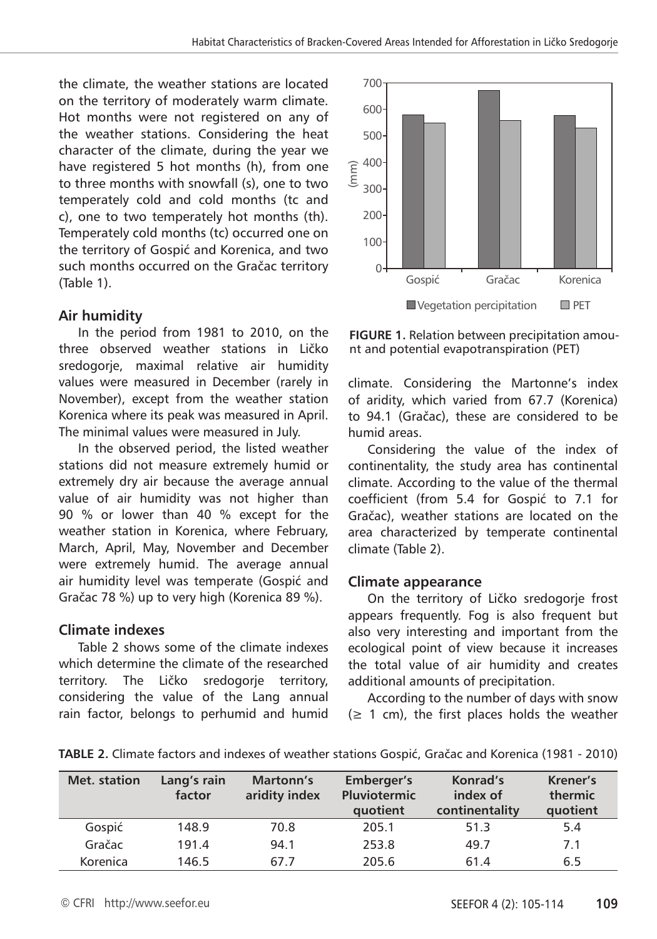the climate, the weather stations are located on the territory of moderately warm climate. Hot months were not registered on any of the weather stations. Considering the heat character of the climate, during the year we have registered 5 hot months (h), from one to three months with snowfall (s), one to two temperately cold and cold months (tc and c), one to two temperately hot months (th). Temperately cold months (tc) occurred one on the territory of Gospić and Korenica, and two such months occurred on the Gračac territory (Table 1).

# **Air humidity**

In the period from 1981 to 2010, on the three observed weather stations in Ličko sredogorje, maximal relative air humidity values were measured in December (rarely in November), except from the weather station Korenica where its peak was measured in April. The minimal values were measured in July.

In the observed period, the listed weather stations did not measure extremely humid or extremely dry air because the average annual value of air humidity was not higher than 90 % or lower than 40 % except for the weather station in Korenica, where February, March, April, May, November and December were extremely humid. The average annual air humidity level was temperate (Gospić and Gračac 78 %) up to very high (Korenica 89 %).

#### **Climate indexes**

Table 2 shows some of the climate indexes which determine the climate of the researched territory. The Ličko sredogorje territory, considering the value of the Lang annual rain factor, belongs to perhumid and humid



**FIGURE 1.** Relation between precipitation amount and potential evapotranspiration (PET)

climate. Considering the Martonne's index of aridity, which varied from 67.7 (Korenica) to 94.1 (Gračac), these are considered to be humid areas.

Considering the value of the index of continentality, the study area has continental climate. According to the value of the thermal coefficient (from 5.4 for Gospić to 7.1 for Gračac), weather stations are located on the area characterized by temperate continental climate (Table 2).

#### **Climate appearance**

On the territory of Ličko sredogorje frost appears frequently. Fog is also frequent but also very interesting and important from the ecological point of view because it increases the total value of air humidity and creates additional amounts of precipitation.

According to the number of days with snow  $(\geq 1 \text{ cm})$ , the first places holds the weather

| Met. station | Lang's rain<br>factor | <b>Martonn's</b><br>aridity index | Emberger's<br><b>Pluviotermic</b><br>quotient | Konrad's<br>index of<br>continentality | Krener's<br>thermic<br>quotient |
|--------------|-----------------------|-----------------------------------|-----------------------------------------------|----------------------------------------|---------------------------------|
| Gospić       | 148.9                 | 70.8                              | 205.1                                         | 51.3                                   | 5.4                             |
| Gračac       | 191.4                 | 94.1                              | 253.8                                         | 49.7                                   | 7.1                             |
| Korenica     | 146.5                 | 67.7                              | 205.6                                         | 61.4                                   | 6.5                             |

**TABLE 2.** Climate factors and indexes of weather stations Gospić, Gračac and Korenica (1981 - 2010)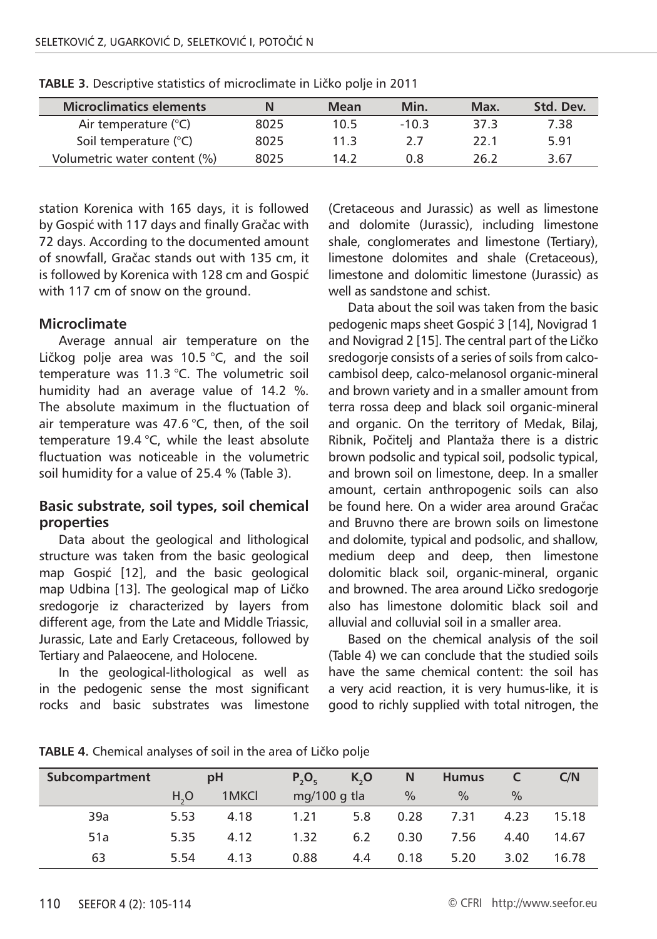| <b>Microclimatics elements</b> |      | Mean | Min.    | Max. | Std. Dev. |
|--------------------------------|------|------|---------|------|-----------|
| Air temperature (°C)           | 8025 | 10.5 | $-10.3$ | 37 3 | 7.38      |
| Soil temperature (°C)          | 8025 | 11 3 | 77      | 22 1 | 5.91      |
| Volumetric water content (%)   | 8025 | 14 2 | 0.8     | 26 2 | 3.67      |

**TABLE 3.** Descriptive statistics of microclimate in Ličko polje in 2011

station Korenica with 165 days, it is followed by Gospić with 117 days and finally Gračac with 72 days. According to the documented amount of snowfall, Gračac stands out with 135 cm, it is followed by Korenica with 128 cm and Gospić with 117 cm of snow on the ground.

#### **Microclimate**

Average annual air temperature on the Ličkog polje area was 10.5 °C, and the soil temperature was 11.3 °C. The volumetric soil humidity had an average value of 14.2 %. The absolute maximum in the fluctuation of air temperature was 47.6  $^{\circ}$ C, then, of the soil temperature 19.4 °C, while the least absolute fluctuation was noticeable in the volumetric soil humidity for a value of 25.4 % (Table 3).

#### **Basic substrate, soil types, soil chemical properties**

Data about the geological and lithological structure was taken from the basic geological map Gospić [12], and the basic geological map Udbina [13]. The geological map of Ličko sredogorje iz characterized by layers from different age, from the Late and Middle Triassic, Jurassic, Late and Early Cretaceous, followed by Tertiary and Palaeocene, and Holocene.

In the geological-lithological as well as in the pedogenic sense the most significant rocks and basic substrates was limestone

(Cretaceous and Jurassic) as well as limestone and dolomite (Jurassic), including limestone shale, conglomerates and limestone (Tertiary), limestone dolomites and shale (Cretaceous), limestone and dolomitic limestone (Jurassic) as well as sandstone and schist.

Data about the soil was taken from the basic pedogenic maps sheet Gospić 3 [14], Novigrad 1 and Novigrad 2 [15]. The central part of the Ličko sredogorje consists of a series of soils from calcocambisol deep, calco-melanosol organic-mineral and brown variety and in a smaller amount from terra rossa deep and black soil organic-mineral and organic. On the territory of Medak, Bilaj, Ribnik, Počitelj and Plantaža there is a distric brown podsolic and typical soil, podsolic typical, and brown soil on limestone, deep. In a smaller amount, certain anthropogenic soils can also be found here. On a wider area around Gračac and Bruvno there are brown soils on limestone and dolomite, typical and podsolic, and shallow, medium deep and deep, then limestone dolomitic black soil, organic-mineral, organic and browned. The area around Ličko sredogorje also has limestone dolomitic black soil and alluvial and colluvial soil in a smaller area.

Based on the chemical analysis of the soil (Table 4) we can conclude that the studied soils have the same chemical content: the soil has a very acid reaction, it is very humus-like, it is good to richly supplied with total nitrogen, the

| Subcompartment |                  | pH    | $P_2O_r$     | K, O | N             | <b>Humus</b>  | <b>C</b> | C/N   |
|----------------|------------------|-------|--------------|------|---------------|---------------|----------|-------|
|                | H <sub>2</sub> O | 1MKCI | mg/100 g tla |      | $\frac{0}{0}$ | $\frac{0}{0}$ | $\%$     |       |
| 39a            | 5.53             | 4.18  | 1.21         | 5.8  | 0.28          | 7.31          | 4.23     | 15.18 |
| 51a            | 5.35             | 4.12  | 1.32         | 6.2  | 0.30          | 7.56          | 4.40     | 14.67 |
| 63             | 5.54             | 4.13  | 0.88         | 4.4  | 0.18          | 5.20          | 3.02     | 16.78 |

**TABLE 4.** Chemical analyses of soil in the area of Ličko polje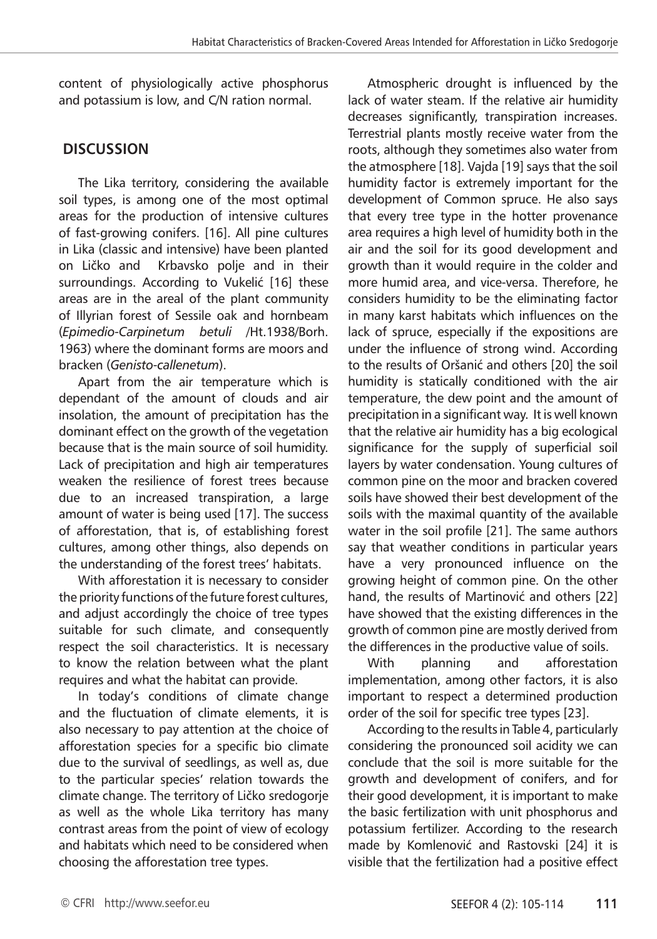content of physiologically active phosphorus and potassium is low, and C/N ration normal.

# **DISCUSSION**

The Lika territory, considering the available soil types, is among one of the most optimal areas for the production of intensive cultures of fast-growing conifers. [16]. All pine cultures in Lika (classic and intensive) have been planted on Ličko and Krbavsko polje and in their surroundings. According to Vukelić [16] these areas are in the areal of the plant community of Illyrian forest of Sessile oak and hornbeam (*Epimedio-Carpinetum betuli* /Ht.1938/Borh. 1963) where the dominant forms are moors and bracken (*Genisto-callenetum*).

Apart from the air temperature which is dependant of the amount of clouds and air insolation, the amount of precipitation has the dominant effect on the growth of the vegetation because that is the main source of soil humidity. Lack of precipitation and high air temperatures weaken the resilience of forest trees because due to an increased transpiration, a large amount of water is being used [17]. The success of afforestation, that is, of establishing forest cultures, among other things, also depends on the understanding of the forest trees' habitats.

With afforestation it is necessary to consider the priority functions of the future forest cultures, and adjust accordingly the choice of tree types suitable for such climate, and consequently respect the soil characteristics. It is necessary to know the relation between what the plant requires and what the habitat can provide.

In today's conditions of climate change and the fluctuation of climate elements, it is also necessary to pay attention at the choice of afforestation species for a specific bio climate due to the survival of seedlings, as well as, due to the particular species' relation towards the climate change. The territory of Ličko sredogorje as well as the whole Lika territory has many contrast areas from the point of view of ecology and habitats which need to be considered when choosing the afforestation tree types.

Atmospheric drought is influenced by the lack of water steam. If the relative air humidity decreases significantly, transpiration increases. Terrestrial plants mostly receive water from the roots, although they sometimes also water from the atmosphere [18]. Vajda [19] says that the soil humidity factor is extremely important for the development of Common spruce. He also says that every tree type in the hotter provenance area requires a high level of humidity both in the air and the soil for its good development and growth than it would require in the colder and more humid area, and vice-versa. Therefore, he considers humidity to be the eliminating factor in many karst habitats which influences on the lack of spruce, especially if the expositions are under the influence of strong wind. According to the results of Oršanić and others [20] the soil humidity is statically conditioned with the air temperature, the dew point and the amount of precipitation in a significant way. It is well known that the relative air humidity has a big ecological significance for the supply of superficial soil layers by water condensation. Young cultures of common pine on the moor and bracken covered soils have showed their best development of the soils with the maximal quantity of the available water in the soil profile [21]. The same authors say that weather conditions in particular years have a very pronounced influence on the growing height of common pine. On the other hand, the results of Martinović and others [22] have showed that the existing differences in the growth of common pine are mostly derived from the differences in the productive value of soils.

With planning and afforestation implementation, among other factors, it is also important to respect a determined production order of the soil for specific tree types [23].

According to the results in Table 4, particularly considering the pronounced soil acidity we can conclude that the soil is more suitable for the growth and development of conifers, and for their good development, it is important to make the basic fertilization with unit phosphorus and potassium fertilizer. According to the research made by Komlenović and Rastovski [24] it is visible that the fertilization had a positive effect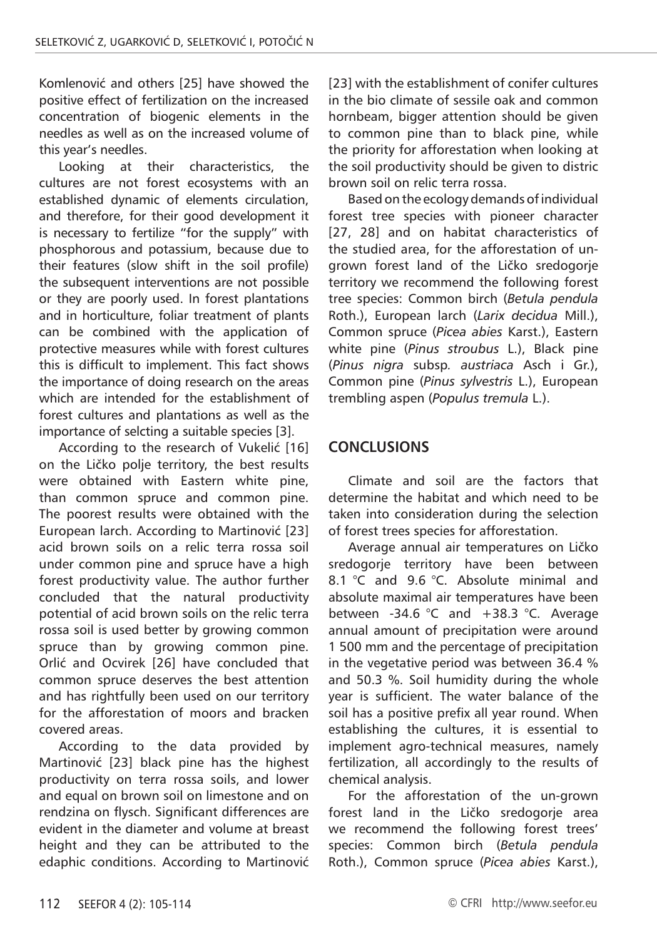Komlenović and others [25] have showed the positive effect of fertilization on the increased concentration of biogenic elements in the needles as well as on the increased volume of this year's needles.

Looking at their characteristics, the cultures are not forest ecosystems with an established dynamic of elements circulation, and therefore, for their good development it is necessary to fertilize "for the supply" with phosphorous and potassium, because due to their features (slow shift in the soil profile) the subsequent interventions are not possible or they are poorly used. In forest plantations and in horticulture, foliar treatment of plants can be combined with the application of protective measures while with forest cultures this is difficult to implement. This fact shows the importance of doing research on the areas which are intended for the establishment of forest cultures and plantations as well as the importance of selcting a suitable species [3].

According to the research of Vukelić [16] on the Ličko polje territory, the best results were obtained with Eastern white pine, than common spruce and common pine. The poorest results were obtained with the European larch. According to Martinović [23] acid brown soils on a relic terra rossa soil under common pine and spruce have a high forest productivity value. The author further concluded that the natural productivity potential of acid brown soils on the relic terra rossa soil is used better by growing common spruce than by growing common pine. Orlić and Ocvirek [26] have concluded that common spruce deserves the best attention and has rightfully been used on our territory for the afforestation of moors and bracken covered areas.

According to the data provided by Martinović [23] black pine has the highest productivity on terra rossa soils, and lower and equal on brown soil on limestone and on rendzina on flysch. Significant differences are evident in the diameter and volume at breast height and they can be attributed to the edaphic conditions. According to Martinović

[23] with the establishment of conifer cultures in the bio climate of sessile oak and common hornbeam, bigger attention should be given to common pine than to black pine, while the priority for afforestation when looking at the soil productivity should be given to distric brown soil on relic terra rossa.

Based on the ecology demands of individual forest tree species with pioneer character [27, 28] and on habitat characteristics of the studied area, for the afforestation of ungrown forest land of the Ličko sredogorje territory we recommend the following forest tree species: Common birch (*Betula pendula* Roth.), European larch (*Larix decidua* Mill.), Common spruce (*Picea abies* Karst.), Eastern white pine (*Pinus stroubus* L.), Black pine (*Pinus nigra* subsp*. austriaca* Asch i Gr.), Common pine (*Pinus sylvestris* L.), European trembling aspen (*Populus tremula* L.).

# **CONCLUSIONS**

Climate and soil are the factors that determine the habitat and which need to be taken into consideration during the selection of forest trees species for afforestation.

Average annual air temperatures on Ličko sredogorje territory have been between 8.1 °C and 9.6 °C. Absolute minimal and absolute maximal air temperatures have been between -34.6 °C and +38.3 °C. Average annual amount of precipitation were around 1 500 mm and the percentage of precipitation in the vegetative period was between 36.4 % and 50.3 %. Soil humidity during the whole year is sufficient. The water balance of the soil has a positive prefix all year round. When establishing the cultures, it is essential to implement agro-technical measures, namely fertilization, all accordingly to the results of chemical analysis.

For the afforestation of the un-grown forest land in the Ličko sredogorje area we recommend the following forest trees' species: Common birch (*Betula pendula* Roth.), Common spruce (*Picea abies* Karst.),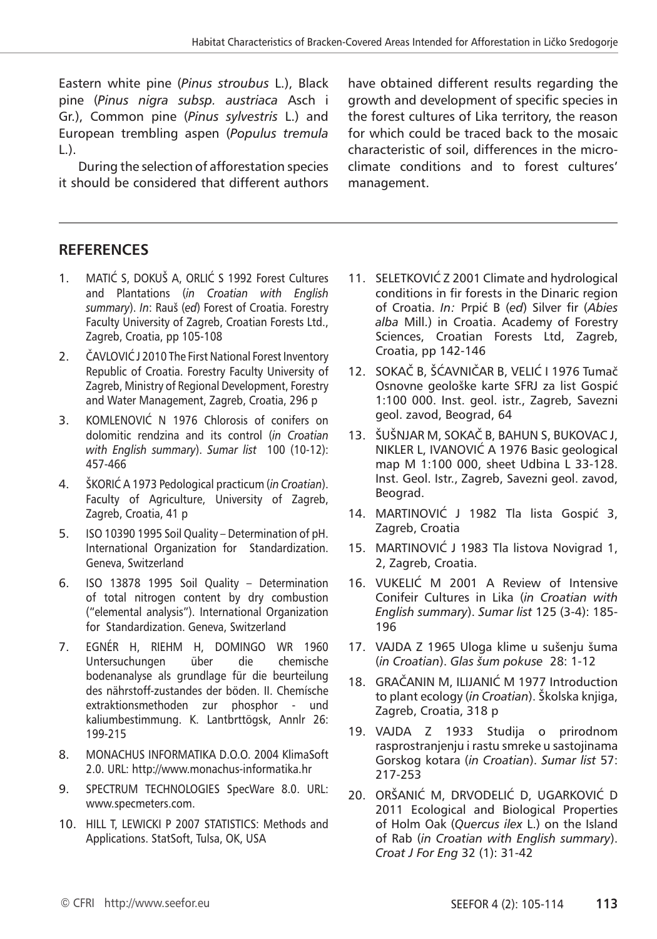Eastern white pine (*Pinus stroubus* L.), Black pine (*Pinus nigra subsp. austriaca* Asch i Gr.), Common pine (*Pinus sylvestris* L.) and European trembling aspen (*Populus tremula*  $\Box$ .

During the selection of afforestation species it should be considered that different authors

have obtained different results regarding the growth and development of specific species in the forest cultures of Lika territory, the reason for which could be traced back to the mosaic characteristic of soil, differences in the microclimate conditions and to forest cultures' management.

# **RefereNces**

- 1. MATIĆ S, DOKUŠ A, ORLIĆ S 1992 Forest Cultures and Plantations (*in Croatian with English summary*). *In*: Rauš (*ed*) Forest of Croatia. Forestry Faculty University of Zagreb, Croatian Forests Ltd., Zagreb, Croatia, pp 105-108
- 2. ČAVLOVIĆ J 2010 The First National Forest Inventory Republic of Croatia. Forestry Faculty University of Zagreb, Ministry of Regional Development, Forestry and Water Management, Zagreb, Croatia, 296 p
- 3. KOMLENOVIĆ N 1976 Chlorosis of conifers on dolomitic rendzina and its control (*in Croatian with English summary*). *Sumar list* 100 (10-12): 457-466
- 4. ŠKORIĆ A 1973 Pedological practicum (*in Croatian*). Faculty of Agriculture, University of Zagreb, Zagreb, Croatia, 41 p
- 5. ISO 10390 1995 Soil Quality Determination of pH. International Organization for Standardization. Geneva, Switzerland
- 6. ISO 13878 1995 Soil Quality Determination of total nitrogen content by dry combustion ("elemental analysis"). International Organization for Standardization. Geneva, Switzerland
- 7. EGNÉR H, RIEHM H, DOMINGO WR 1960 Untersuchungen über die chemische bodenanalyse als grundlage für die beurteilung des nährstoff-zustandes der böden. II. Chemísche extraktionsmethoden zur phosphor - und kaliumbestimmung. K. Lantbrttögsk, Annlr 26: 199-215
- 8. MONACHUS INFORMATIKA D.O.O. 2004 KlimaSoft 2.0. URL: http://www.monachus-informatika.hr
- 9. SPECTRUM TECHNOLOGIES SpecWare 8.0. URL: www.specmeters.com.
- 10. HILL T, LEWICKI P 2007 STATISTICS: Methods and Applications. StatSoft, Tulsa, OK, USA
- 11. SELETKOVIĆ Z 2001 Climate and hydrological conditions in fir forests in the Dinaric region of Croatia. *In:* Prpić B (*ed*) Silver fir (*Abies alba* Mill.) in Croatia. Academy of Forestry Sciences, Croatian Forests Ltd, Zagreb, Croatia, pp 142-146
- 12. SOKAČ B, ŠĆAVNIČAR B, VELIĆ I 1976 Tumač Osnovne geološke karte SFRJ za list Gospić 1:100 000. Inst. geol. istr., Zagreb, Savezni geol. zavod, Beograd, 64
- 13. ŠUŠNJAR M, SOKAČ B, BAHUN S, BUKOVAC J, NIKLER L, IVANOVIĆ A 1976 Basic geological map M 1:100 000, sheet Udbina L 33-128. Inst. Geol. Istr., Zagreb, Savezni geol. zavod, Beograd.
- 14. MARTINOVIĆ J 1982 Tla lista Gospić 3, Zagreb, Croatia
- 15. MARTINOVIĆ J 1983 Tla listova Novigrad 1, 2, Zagreb, Croatia.
- 16. VUKELIĆ M 2001 A Review of Intensive Conifeir Cultures in Lika (*in Croatian with English summary*). *Sumar list* 125 (3-4): 185- 196
- 17. VAJDA Z 1965 Uloga klime u sušenju šuma (*in Croatian*). *Glas šum pokuse* 28: 1-12
- 18. GRAČANIN M, ILIJANIĆ M 1977 Introduction to plant ecology (*in Croatian*). Školska knjiga, Zagreb, Croatia, 318 p
- 19. VAJDA Z 1933 Studija o prirodnom rasprostranjenju i rastu smreke u sastojinama Gorskog kotara (*in Croatian*). *Sumar list* 57: 217-253
- 20. ORŠANIĆ M, DRVODELIĆ D, UGARKOVIĆ D 2011 Ecological and Biological Properties of Holm Oak (*Quercus ilex* L.) on the Island of Rab (*in Croatian with English summary*). *Croat J For Eng* 32 (1): 31-42